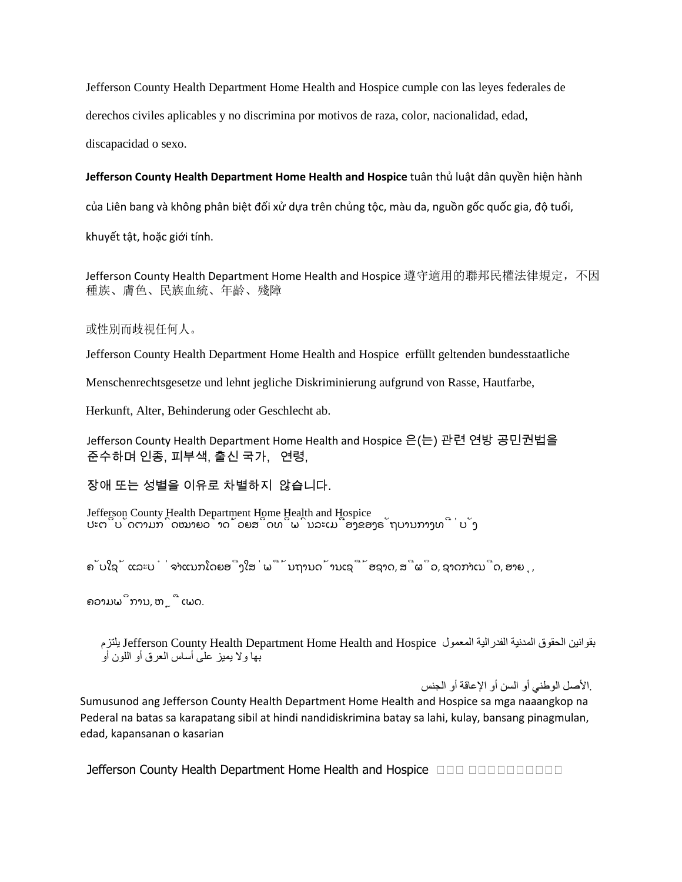Jefferson County Health Department Home Health and Hospice cumple con las leyes federales de derechos civiles aplicables y no discrimina por motivos de raza, color, nacionalidad, edad, discapacidad o sexo.

**Jefferson County Health Department Home Health and Hospice** tuân thủ luật dân quyền hiện hành

của Liên bang và không phân biệt đối xử dựa trên chủng tộc, màu da, nguồn gốc quốc gia, độ tuổi,

khuyết tật, hoặc giới tính.

Jefferson County Health Department Home Health and Hospice 遵守適用的聯邦民權法律規定,不因 種族、膚色、民族血統、年齡、殘障

## 或性別而歧視任何人。

Jefferson County Health Department Home Health and Hospice erfüllt geltenden bundesstaatliche

Menschenrechtsgesetze und lehnt jegliche Diskriminierung aufgrund von Rasse, Hautfarbe,

Herkunft, Alter, Behinderung oder Geschlecht ab.

Jefferson County Health Department Home Health and Hospice 은(는) 관련 연방 공민권법을 준수하며 인종, 피부색, 출신 국가, 연령,

장애 또는 성별을 이유로 차별하지 않습니다.

Jefferson County Health Department Home Health and Hospice ປະຕິບັດຕາມກົດໝາຍວ່າດ້ວຍສິດທິພົນລະເມືອງຂອງຣັຖບານກາງທີ່ບັງ

ຄັບໃຊ້ ແລະບໍ່ຈຳແນກໂດຍອີງໃສ່ພື້ນຖານດ້ານເຊື້ອຊາດ, ສີຜິວ, ຊາດກຳເນີດ, ອາຍຸ,

ຄວາມພິການ, ຫຼື ເພດ.

بقوانين الحقوق المدنية الفدرالية المعمول Jefferson County Health Department Home Health and Hospice يلتزم بھا ولا یمیز على أساس العرق أو اللون أو

.الأصل الوطني أو السن أو الإعاقة أو الجنس

Sumusunod ang Jefferson County Health Department Home Health and Hospice sa mga naaangkop na Pederal na batas sa karapatang sibil at hindi nandidiskrimina batay sa lahi, kulay, bansang pinagmulan, edad, kapansanan o kasarian

**Jefferson County Health Department Home Health and Hospice <b>Health Department**